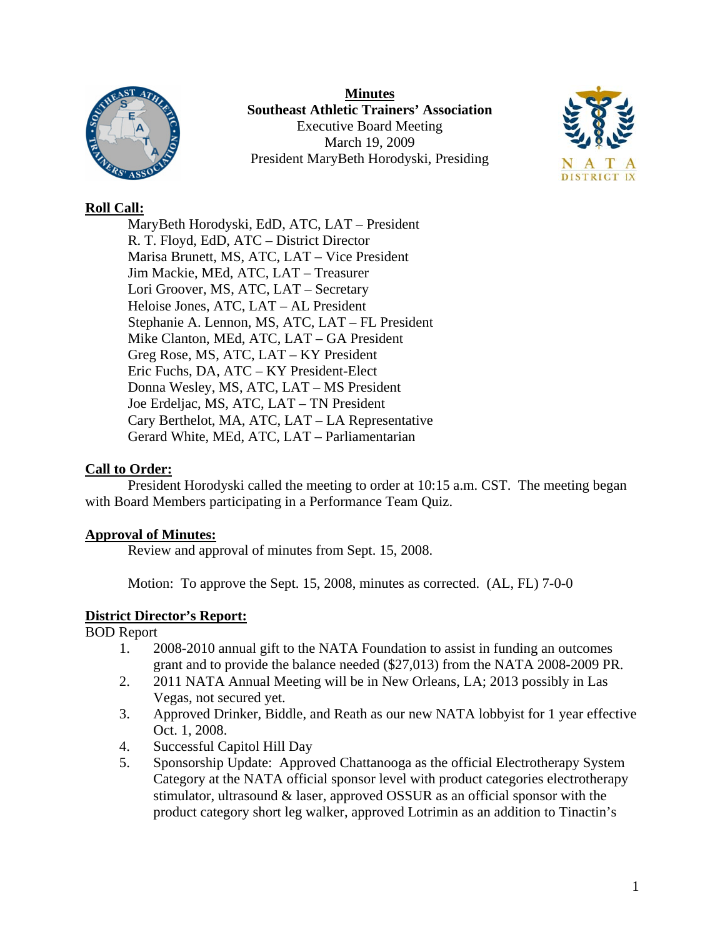

**Minutes Southeast Athletic Trainers' Association**  Executive Board Meeting March 19, 2009 President MaryBeth Horodyski, Presiding



## **Roll Call:**

 MaryBeth Horodyski, EdD, ATC, LAT – President R. T. Floyd, EdD, ATC – District Director Marisa Brunett, MS, ATC, LAT – Vice President Jim Mackie, MEd, ATC, LAT – Treasurer Lori Groover, MS, ATC, LAT – Secretary Heloise Jones, ATC, LAT – AL President Stephanie A. Lennon, MS, ATC, LAT – FL President Mike Clanton, MEd, ATC, LAT – GA President Greg Rose, MS, ATC, LAT – KY President Eric Fuchs, DA, ATC – KY President-Elect Donna Wesley, MS, ATC, LAT – MS President Joe Erdeljac, MS, ATC, LAT – TN President Cary Berthelot, MA, ATC, LAT – LA Representative Gerard White, MEd, ATC, LAT – Parliamentarian

# **Call to Order:**

 President Horodyski called the meeting to order at 10:15 a.m. CST. The meeting began with Board Members participating in a Performance Team Quiz.

### **Approval of Minutes:**

Review and approval of minutes from Sept. 15, 2008.

Motion: To approve the Sept. 15, 2008, minutes as corrected. (AL, FL) 7-0-0

### **District Director's Report:**

BOD Report

- 1. 2008-2010 annual gift to the NATA Foundation to assist in funding an outcomes grant and to provide the balance needed (\$27,013) from the NATA 2008-2009 PR.
- 2. 2011 NATA Annual Meeting will be in New Orleans, LA; 2013 possibly in Las Vegas, not secured yet.
- 3. Approved Drinker, Biddle, and Reath as our new NATA lobbyist for 1 year effective Oct. 1, 2008.
- 4. Successful Capitol Hill Day
- 5. Sponsorship Update: Approved Chattanooga as the official Electrotherapy System Category at the NATA official sponsor level with product categories electrotherapy stimulator, ultrasound & laser, approved OSSUR as an official sponsor with the product category short leg walker, approved Lotrimin as an addition to Tinactin's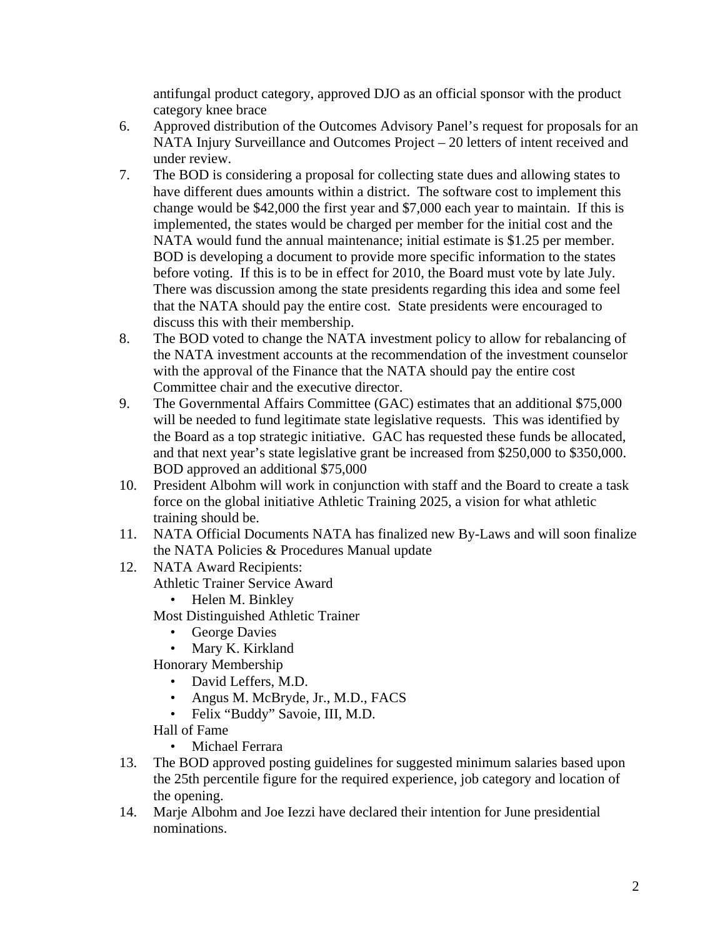antifungal product category, approved DJO as an official sponsor with the product category knee brace

- 6. Approved distribution of the Outcomes Advisory Panel's request for proposals for an NATA Injury Surveillance and Outcomes Project – 20 letters of intent received and under review.
- 7. The BOD is considering a proposal for collecting state dues and allowing states to have different dues amounts within a district. The software cost to implement this change would be \$42,000 the first year and \$7,000 each year to maintain. If this is implemented, the states would be charged per member for the initial cost and the NATA would fund the annual maintenance; initial estimate is \$1.25 per member. BOD is developing a document to provide more specific information to the states before voting. If this is to be in effect for 2010, the Board must vote by late July. There was discussion among the state presidents regarding this idea and some feel that the NATA should pay the entire cost. State presidents were encouraged to discuss this with their membership.
- 8. The BOD voted to change the NATA investment policy to allow for rebalancing of the NATA investment accounts at the recommendation of the investment counselor with the approval of the Finance that the NATA should pay the entire cost Committee chair and the executive director.
- 9. The Governmental Affairs Committee (GAC) estimates that an additional \$75,000 will be needed to fund legitimate state legislative requests. This was identified by the Board as a top strategic initiative. GAC has requested these funds be allocated, and that next year's state legislative grant be increased from \$250,000 to \$350,000. BOD approved an additional \$75,000
- 10. President Albohm will work in conjunction with staff and the Board to create a task force on the global initiative Athletic Training 2025, a vision for what athletic training should be.
- 11. NATA Official Documents NATA has finalized new By-Laws and will soon finalize the NATA Policies & Procedures Manual update
- 12. NATA Award Recipients:
	- Athletic Trainer Service Award
		- Helen M. Binkley

Most Distinguished Athletic Trainer

- George Davies
- Mary K. Kirkland

Honorary Membership

- David Leffers, M.D.
- Angus M. McBryde, Jr., M.D., FACS
- Felix "Buddy" Savoie, III, M.D.

Hall of Fame

- Michael Ferrara
- 13. The BOD approved posting guidelines for suggested minimum salaries based upon the 25th percentile figure for the required experience, job category and location of the opening.
- 14. Marje Albohm and Joe Iezzi have declared their intention for June presidential nominations.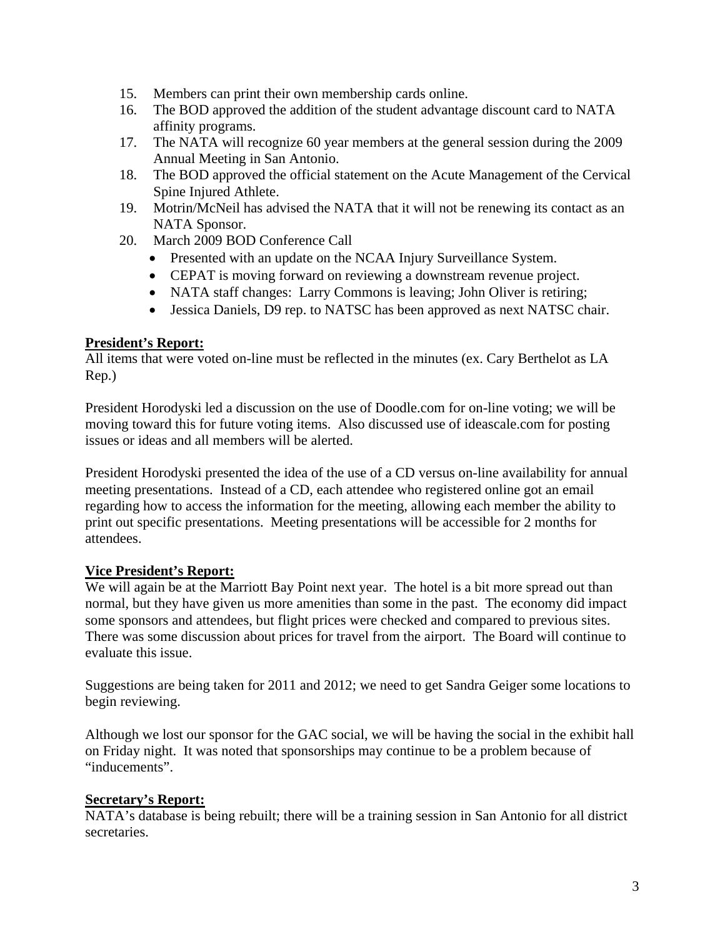- 15. Members can print their own membership cards online.
- 16. The BOD approved the addition of the student advantage discount card to NATA affinity programs.
- 17. The NATA will recognize 60 year members at the general session during the 2009 Annual Meeting in San Antonio.
- 18. The BOD approved the official statement on the Acute Management of the Cervical Spine Injured Athlete.
- 19. Motrin/McNeil has advised the NATA that it will not be renewing its contact as an NATA Sponsor.
- 20. March 2009 BOD Conference Call
	- Presented with an update on the NCAA Injury Surveillance System.
	- CEPAT is moving forward on reviewing a downstream revenue project.
	- NATA staff changes: Larry Commons is leaving; John Oliver is retiring;
	- Jessica Daniels, D9 rep. to NATSC has been approved as next NATSC chair.

### **President's Report:**

All items that were voted on-line must be reflected in the minutes (ex. Cary Berthelot as LA Rep.)

President Horodyski led a discussion on the use of Doodle.com for on-line voting; we will be moving toward this for future voting items. Also discussed use of ideascale.com for posting issues or ideas and all members will be alerted.

President Horodyski presented the idea of the use of a CD versus on-line availability for annual meeting presentations. Instead of a CD, each attendee who registered online got an email regarding how to access the information for the meeting, allowing each member the ability to print out specific presentations. Meeting presentations will be accessible for 2 months for attendees.

### **Vice President's Report:**

We will again be at the Marriott Bay Point next year. The hotel is a bit more spread out than normal, but they have given us more amenities than some in the past. The economy did impact some sponsors and attendees, but flight prices were checked and compared to previous sites. There was some discussion about prices for travel from the airport. The Board will continue to evaluate this issue.

Suggestions are being taken for 2011 and 2012; we need to get Sandra Geiger some locations to begin reviewing.

Although we lost our sponsor for the GAC social, we will be having the social in the exhibit hall on Friday night. It was noted that sponsorships may continue to be a problem because of "inducements".

### **Secretary's Report:**

NATA's database is being rebuilt; there will be a training session in San Antonio for all district secretaries.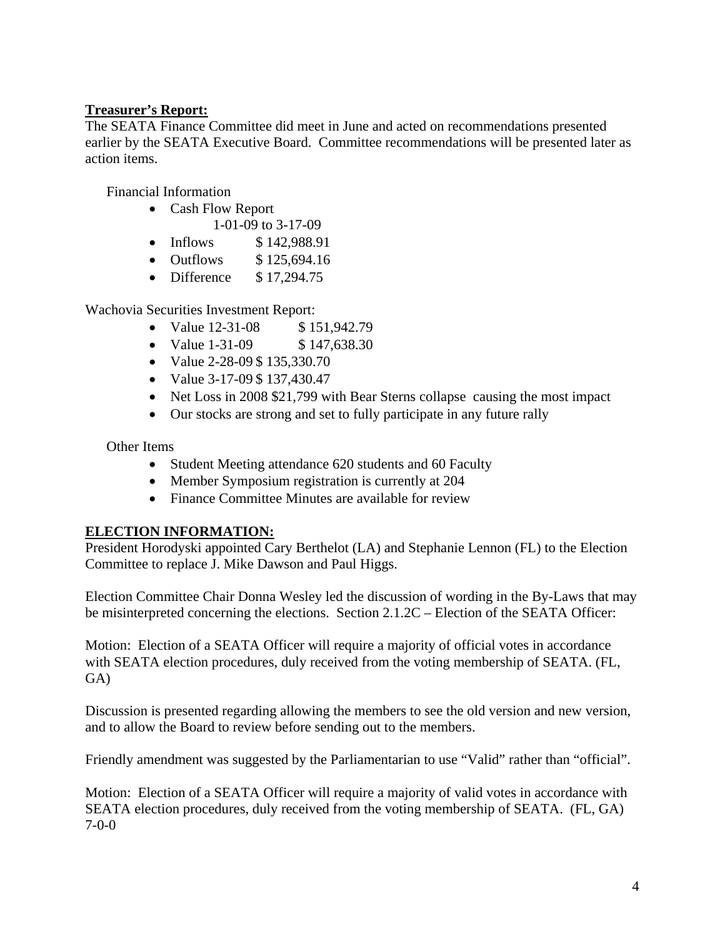# **Treasurer's Report:**

The SEATA Finance Committee did meet in June and acted on recommendations presented earlier by the SEATA Executive Board. Committee recommendations will be presented later as action items.

Financial Information

- Cash Flow Report 1-01-09 to 3-17-09
- Inflows \$142,988.91
- Outflows \$125,694.16
- Difference \$17,294.75

Wachovia Securities Investment Report:

- Value 12-31-08 \$ 151,942.79
- Value 1-31-09 \$ 147,638.30
- Value 2-28-09 \$ 135,330.70
- Value 3-17-09 \$ 137,430.47
- Net Loss in 2008 \$21,799 with Bear Sterns collapse causing the most impact
- Our stocks are strong and set to fully participate in any future rally

Other Items

- Student Meeting attendance 620 students and 60 Faculty
- Member Symposium registration is currently at 204
- Finance Committee Minutes are available for review

### **ELECTION INFORMATION:**

President Horodyski appointed Cary Berthelot (LA) and Stephanie Lennon (FL) to the Election Committee to replace J. Mike Dawson and Paul Higgs.

Election Committee Chair Donna Wesley led the discussion of wording in the By-Laws that may be misinterpreted concerning the elections. Section 2.1.2C – Election of the SEATA Officer:

Motion: Election of a SEATA Officer will require a majority of official votes in accordance with SEATA election procedures, duly received from the voting membership of SEATA. (FL, GA)

Discussion is presented regarding allowing the members to see the old version and new version, and to allow the Board to review before sending out to the members.

Friendly amendment was suggested by the Parliamentarian to use "Valid" rather than "official".

Motion: Election of a SEATA Officer will require a majority of valid votes in accordance with SEATA election procedures, duly received from the voting membership of SEATA. (FL, GA) 7-0-0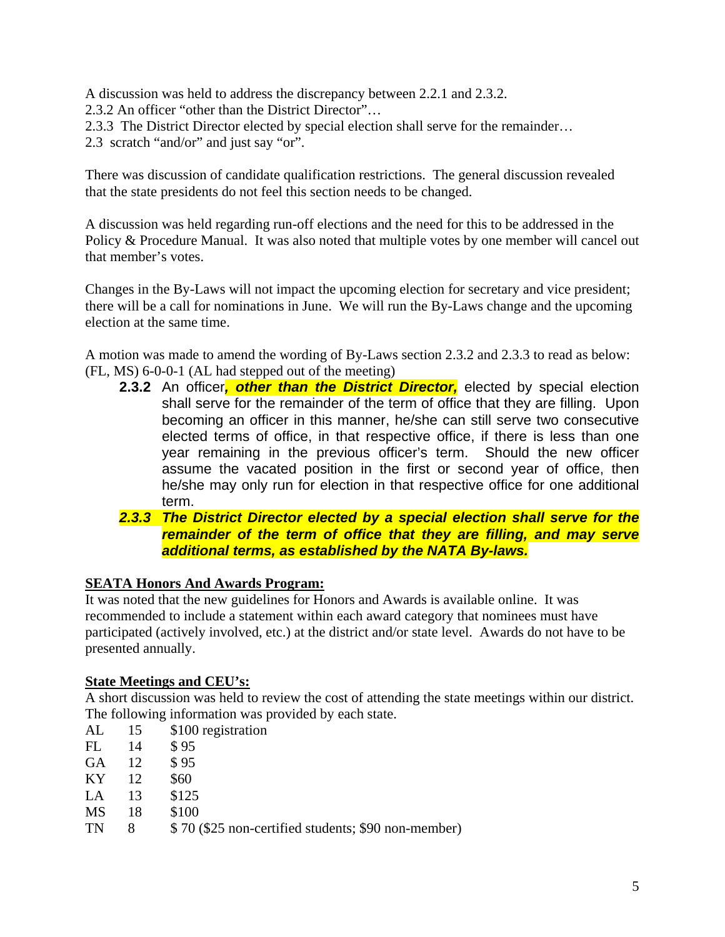A discussion was held to address the discrepancy between 2.2.1 and 2.3.2.

- 2.3.2 An officer "other than the District Director"…
- 2.3.3 The District Director elected by special election shall serve for the remainder…
- 2.3 scratch "and/or" and just say "or".

There was discussion of candidate qualification restrictions. The general discussion revealed that the state presidents do not feel this section needs to be changed.

A discussion was held regarding run-off elections and the need for this to be addressed in the Policy & Procedure Manual. It was also noted that multiple votes by one member will cancel out that member's votes.

Changes in the By-Laws will not impact the upcoming election for secretary and vice president; there will be a call for nominations in June. We will run the By-Laws change and the upcoming election at the same time.

A motion was made to amend the wording of By-Laws section 2.3.2 and 2.3.3 to read as below: (FL, MS) 6-0-0-1 (AL had stepped out of the meeting)

- **2.3.2** An officer*, other than the District Director,* elected by special election shall serve for the remainder of the term of office that they are filling. Upon becoming an officer in this manner, he/she can still serve two consecutive elected terms of office, in that respective office, if there is less than one year remaining in the previous officer's term. Should the new officer assume the vacated position in the first or second year of office, then he/she may only run for election in that respective office for one additional term.
- *2.3.3 The District Director elected by a special election shall serve for the remainder of the term of office that they are filling, and may serve additional terms, as established by the NATA By-laws.*

### **SEATA Honors And Awards Program:**

It was noted that the new guidelines for Honors and Awards is available online. It was recommended to include a statement within each award category that nominees must have participated (actively involved, etc.) at the district and/or state level. Awards do not have to be presented annually.

#### **State Meetings and CEU's:**

A short discussion was held to review the cost of attending the state meetings within our district. The following information was provided by each state.

- AL 15 \$100 registration
- FL 14 \$ 95
- GA 12 \$95
- KY 12 \$60
- LA 13 \$125
- MS 18 \$100
- TN 8  $\frac{$8,0}{$25$ non-certified students; $90 non-member}$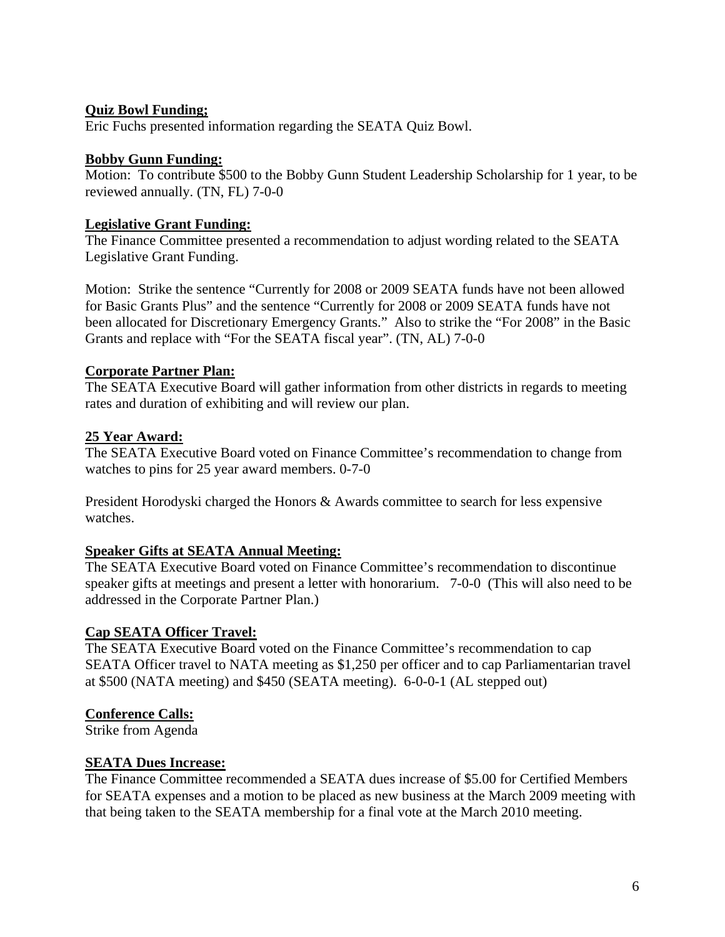## **Quiz Bowl Funding;**

Eric Fuchs presented information regarding the SEATA Quiz Bowl.

### **Bobby Gunn Funding:**

Motion: To contribute \$500 to the Bobby Gunn Student Leadership Scholarship for 1 year, to be reviewed annually. (TN, FL) 7-0-0

## **Legislative Grant Funding:**

The Finance Committee presented a recommendation to adjust wording related to the SEATA Legislative Grant Funding.

Motion: Strike the sentence "Currently for 2008 or 2009 SEATA funds have not been allowed for Basic Grants Plus" and the sentence "Currently for 2008 or 2009 SEATA funds have not been allocated for Discretionary Emergency Grants." Also to strike the "For 2008" in the Basic Grants and replace with "For the SEATA fiscal year". (TN, AL) 7-0-0

# **Corporate Partner Plan:**

The SEATA Executive Board will gather information from other districts in regards to meeting rates and duration of exhibiting and will review our plan.

# **25 Year Award:**

The SEATA Executive Board voted on Finance Committee's recommendation to change from watches to pins for 25 year award members. 0-7-0

President Horodyski charged the Honors & Awards committee to search for less expensive watches.

# **Speaker Gifts at SEATA Annual Meeting:**

The SEATA Executive Board voted on Finance Committee's recommendation to discontinue speaker gifts at meetings and present a letter with honorarium. 7-0-0 (This will also need to be addressed in the Corporate Partner Plan.)

# **Cap SEATA Officer Travel:**

The SEATA Executive Board voted on the Finance Committee's recommendation to cap SEATA Officer travel to NATA meeting as \$1,250 per officer and to cap Parliamentarian travel at \$500 (NATA meeting) and \$450 (SEATA meeting). 6-0-0-1 (AL stepped out)

# **Conference Calls:**

Strike from Agenda

### **SEATA Dues Increase:**

The Finance Committee recommended a SEATA dues increase of \$5.00 for Certified Members for SEATA expenses and a motion to be placed as new business at the March 2009 meeting with that being taken to the SEATA membership for a final vote at the March 2010 meeting.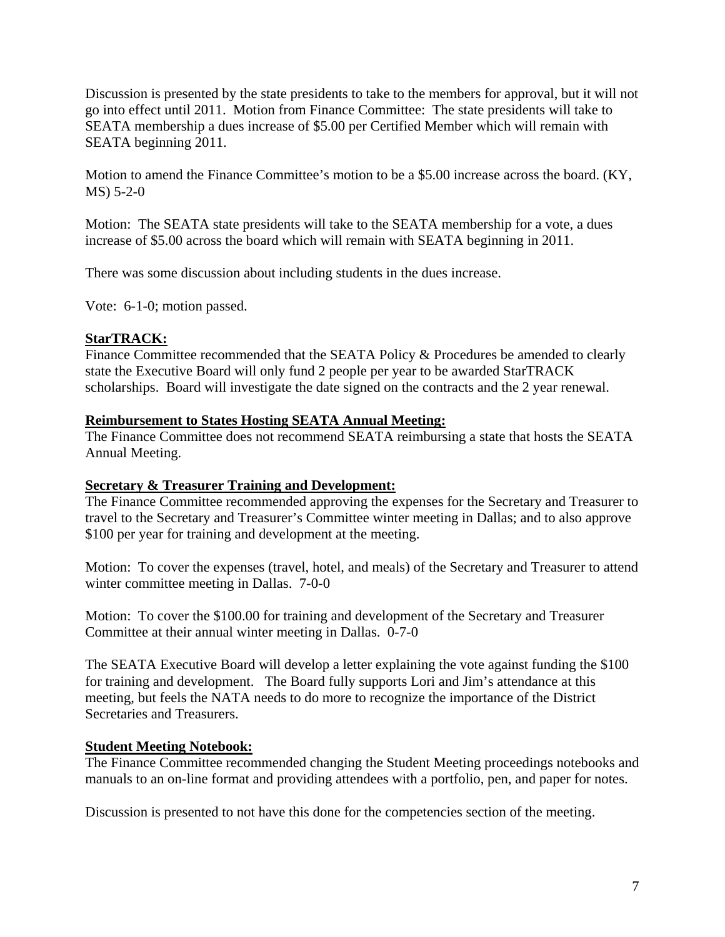Discussion is presented by the state presidents to take to the members for approval, but it will not go into effect until 2011. Motion from Finance Committee: The state presidents will take to SEATA membership a dues increase of \$5.00 per Certified Member which will remain with SEATA beginning 2011.

Motion to amend the Finance Committee's motion to be a \$5.00 increase across the board. (KY, MS) 5-2-0

Motion: The SEATA state presidents will take to the SEATA membership for a vote, a dues increase of \$5.00 across the board which will remain with SEATA beginning in 2011.

There was some discussion about including students in the dues increase.

Vote: 6-1-0; motion passed.

### **StarTRACK:**

Finance Committee recommended that the SEATA Policy & Procedures be amended to clearly state the Executive Board will only fund 2 people per year to be awarded StarTRACK scholarships. Board will investigate the date signed on the contracts and the 2 year renewal.

### **Reimbursement to States Hosting SEATA Annual Meeting:**

The Finance Committee does not recommend SEATA reimbursing a state that hosts the SEATA Annual Meeting.

### **Secretary & Treasurer Training and Development:**

The Finance Committee recommended approving the expenses for the Secretary and Treasurer to travel to the Secretary and Treasurer's Committee winter meeting in Dallas; and to also approve \$100 per year for training and development at the meeting.

Motion: To cover the expenses (travel, hotel, and meals) of the Secretary and Treasurer to attend winter committee meeting in Dallas. 7-0-0

Motion: To cover the \$100.00 for training and development of the Secretary and Treasurer Committee at their annual winter meeting in Dallas. 0-7-0

The SEATA Executive Board will develop a letter explaining the vote against funding the \$100 for training and development. The Board fully supports Lori and Jim's attendance at this meeting, but feels the NATA needs to do more to recognize the importance of the District Secretaries and Treasurers.

### **Student Meeting Notebook:**

The Finance Committee recommended changing the Student Meeting proceedings notebooks and manuals to an on-line format and providing attendees with a portfolio, pen, and paper for notes.

Discussion is presented to not have this done for the competencies section of the meeting.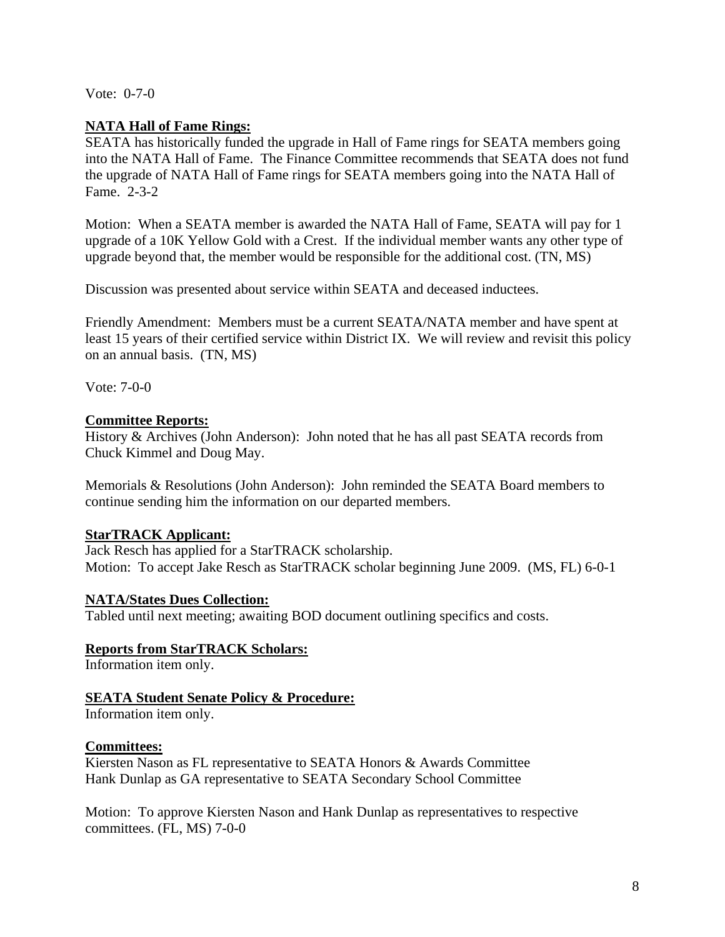Vote: 0-7-0

### **NATA Hall of Fame Rings:**

SEATA has historically funded the upgrade in Hall of Fame rings for SEATA members going into the NATA Hall of Fame. The Finance Committee recommends that SEATA does not fund the upgrade of NATA Hall of Fame rings for SEATA members going into the NATA Hall of Fame. 2-3-2

Motion: When a SEATA member is awarded the NATA Hall of Fame, SEATA will pay for 1 upgrade of a 10K Yellow Gold with a Crest. If the individual member wants any other type of upgrade beyond that, the member would be responsible for the additional cost. (TN, MS)

Discussion was presented about service within SEATA and deceased inductees.

Friendly Amendment: Members must be a current SEATA/NATA member and have spent at least 15 years of their certified service within District IX. We will review and revisit this policy on an annual basis. (TN, MS)

Vote: 7-0-0

# **Committee Reports:**

History & Archives (John Anderson): John noted that he has all past SEATA records from Chuck Kimmel and Doug May.

Memorials & Resolutions (John Anderson): John reminded the SEATA Board members to continue sending him the information on our departed members.

### **StarTRACK Applicant:**

Jack Resch has applied for a StarTRACK scholarship. Motion: To accept Jake Resch as StarTRACK scholar beginning June 2009. (MS, FL) 6-0-1

### **NATA/States Dues Collection:**

Tabled until next meeting; awaiting BOD document outlining specifics and costs.

### **Reports from StarTRACK Scholars:**

Information item only.

### **SEATA Student Senate Policy & Procedure:**

Information item only.

#### **Committees:**

Kiersten Nason as FL representative to SEATA Honors & Awards Committee Hank Dunlap as GA representative to SEATA Secondary School Committee

Motion: To approve Kiersten Nason and Hank Dunlap as representatives to respective committees. (FL, MS) 7-0-0